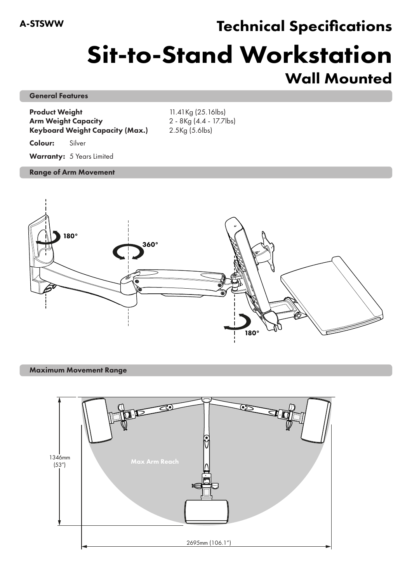## Technical Specifications

# Sit-to-Stand Workstation Wall Mounted

### General Features

Product Weight 11.41Kg (25.16lbs) Arm Weight Capacity 2 - 8Kg (4.4 - 17.7lbs) Keyboard Weight Capacity (Max.) 2.5Kg (5.6lbs)

Colour: Silver

Warranty: 5 Years Limited

### Range of Arm Movement



#### Maximum Movement Range

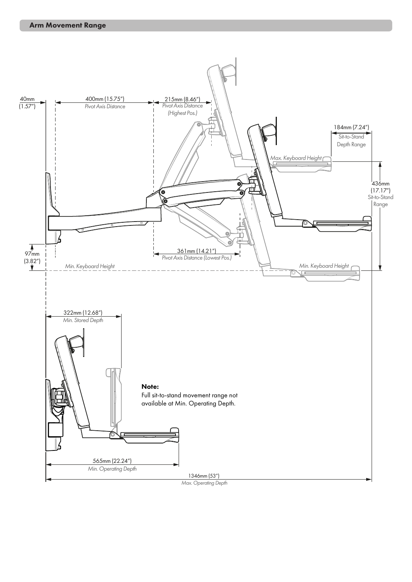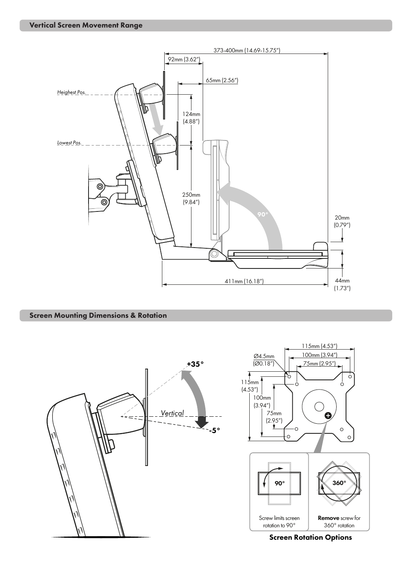

Screen Mounting Dimensions & Rotation